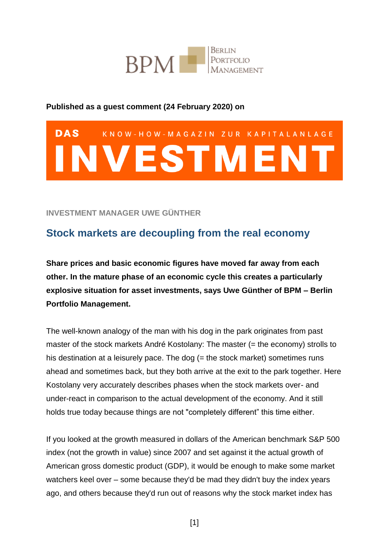

#### **Published as a guest comment (24 February 2020) on**

# **DAS** KNOW-HOW-MAGAZIN ZUR KAPITALANLAGE NVESTMENT

#### **INVESTMENT MANAGER UWE GÜNTHER**

## **Stock markets are decoupling from the real economy**

**Share prices and basic economic figures have moved far away from each other. In the mature phase of an economic cycle this creates a particularly explosive situation for asset investments, says Uwe Günther of BPM – Berlin Portfolio Management.** 

The well-known analogy of the man with his dog in the park originates from past master of the stock markets André Kostolany: The master (= the economy) strolls to his destination at a leisurely pace. The dog (= the stock market) sometimes runs ahead and sometimes back, but they both arrive at the exit to the park together. Here Kostolany very accurately describes phases when the stock markets over- and under-react in comparison to the actual development of the economy. And it still holds true today because things are not "completely different" this time either.

If you looked at the growth measured in dollars of the American benchmark S&P 500 index (not the growth in value) since 2007 and set against it the actual growth of American gross domestic product (GDP), it would be enough to make some market watchers keel over – some because they'd be mad they didn't buy the index years ago, and others because they'd run out of reasons why the stock market index has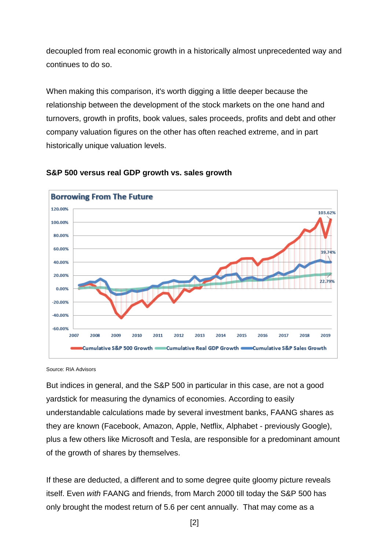decoupled from real economic growth in a historically almost unprecedented way and continues to do so.

When making this comparison, it's worth digging a little deeper because the relationship between the development of the stock markets on the one hand and turnovers, growth in profits, book values, sales proceeds, profits and debt and other company valuation figures on the other has often reached extreme, and in part historically unique valuation levels.



#### **S&P 500 versus real GDP growth vs. sales growth**

Source: RIA Advisors

But indices in general, and the S&P 500 in particular in this case, are not a good yardstick for measuring the dynamics of economies. According to easily understandable calculations made by several investment banks, FAANG shares as they are known (Facebook, Amazon, Apple, Netflix, Alphabet - previously Google), plus a few others like Microsoft and Tesla, are responsible for a predominant amount of the growth of shares by themselves.

If these are deducted, a different and to some degree quite gloomy picture reveals itself. Even *with* FAANG and friends, from March 2000 till today the S&P 500 has only brought the modest return of 5.6 per cent annually. That may come as a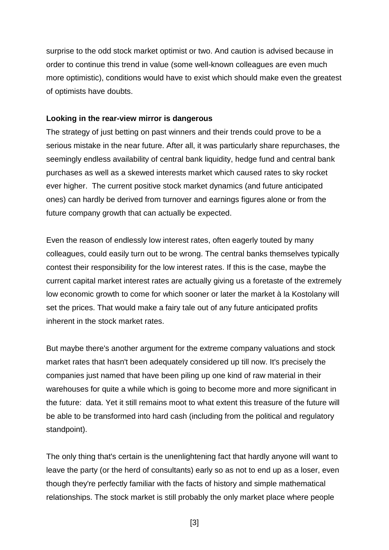surprise to the odd stock market optimist or two. And caution is advised because in order to continue this trend in value (some well-known colleagues are even much more optimistic), conditions would have to exist which should make even the greatest of optimists have doubts.

#### **Looking in the rear-view mirror is dangerous**

The strategy of just betting on past winners and their trends could prove to be a serious mistake in the near future. After all, it was particularly share repurchases, the seemingly endless availability of central bank liquidity, hedge fund and central bank purchases as well as a skewed interests market which caused rates to sky rocket ever higher. The current positive stock market dynamics (and future anticipated ones) can hardly be derived from turnover and earnings figures alone or from the future company growth that can actually be expected.

Even the reason of endlessly low interest rates, often eagerly touted by many colleagues, could easily turn out to be wrong. The central banks themselves typically contest their responsibility for the low interest rates. If this is the case, maybe the current capital market interest rates are actually giving us a foretaste of the extremely low economic growth to come for which sooner or later the market à la Kostolany will set the prices. That would make a fairy tale out of any future anticipated profits inherent in the stock market rates.

But maybe there's another argument for the extreme company valuations and stock market rates that hasn't been adequately considered up till now. It's precisely the companies just named that have been piling up one kind of raw material in their warehouses for quite a while which is going to become more and more significant in the future: data. Yet it still remains moot to what extent this treasure of the future will be able to be transformed into hard cash (including from the political and regulatory standpoint).

The only thing that's certain is the unenlightening fact that hardly anyone will want to leave the party (or the herd of consultants) early so as not to end up as a loser, even though they're perfectly familiar with the facts of history and simple mathematical relationships. The stock market is still probably the only market place where people